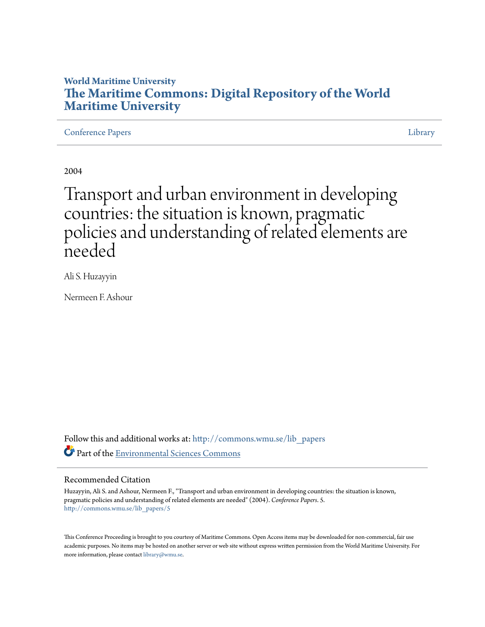# **World Maritime University [The Maritime Commons: Digital Repository of the World](http://commons.wmu.se?utm_source=commons.wmu.se%2Flib_papers%2F5&utm_medium=PDF&utm_campaign=PDFCoverPages) [Maritime University](http://commons.wmu.se?utm_source=commons.wmu.se%2Flib_papers%2F5&utm_medium=PDF&utm_campaign=PDFCoverPages)**

[Conference Papers](http://commons.wmu.se/lib_papers?utm_source=commons.wmu.se%2Flib_papers%2F5&utm_medium=PDF&utm_campaign=PDFCoverPages) [Library](http://commons.wmu.se/library?utm_source=commons.wmu.se%2Flib_papers%2F5&utm_medium=PDF&utm_campaign=PDFCoverPages) Library Library Library Library Library Library Library Library Library Library Library

2004

Transport and urban environment in developing countries: the situation is known, pragmatic policies and understanding of related elements are needed

Ali S. Huzayyin

Nermeen F. Ashour

Follow this and additional works at: [http://commons.wmu.se/lib\\_papers](http://commons.wmu.se/lib_papers?utm_source=commons.wmu.se%2Flib_papers%2F5&utm_medium=PDF&utm_campaign=PDFCoverPages) Part of the [Environmental Sciences Commons](http://network.bepress.com/hgg/discipline/167?utm_source=commons.wmu.se%2Flib_papers%2F5&utm_medium=PDF&utm_campaign=PDFCoverPages)

#### Recommended Citation

Huzayyin, Ali S. and Ashour, Nermeen F., "Transport and urban environment in developing countries: the situation is known, pragmatic policies and understanding of related elements are needed" (2004). *Conference Papers*. 5. [http://commons.wmu.se/lib\\_papers/5](http://commons.wmu.se/lib_papers/5?utm_source=commons.wmu.se%2Flib_papers%2F5&utm_medium=PDF&utm_campaign=PDFCoverPages)

This Conference Proceeding is brought to you courtesy of Maritime Commons. Open Access items may be downloaded for non-commercial, fair use academic purposes. No items may be hosted on another server or web site without express written permission from the World Maritime University. For more information, please contact [library@wmu.se](mailto:library@wmu.edu).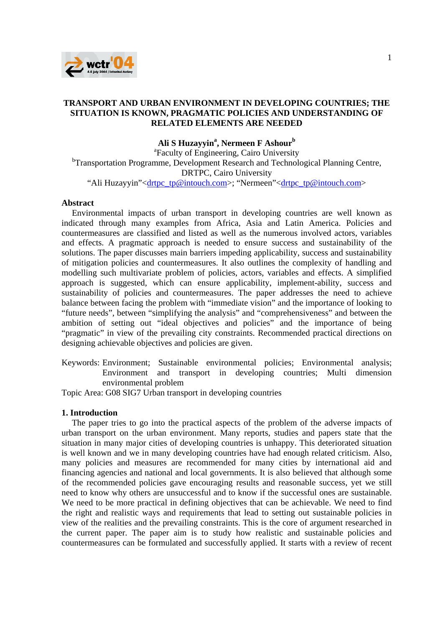

## **TRANSPORT AND URBAN ENVIRONMENT IN DEVELOPING COUNTRIES; THE SITUATION IS KNOWN, PRAGMATIC POLICIES AND UNDERSTANDING OF RELATED ELEMENTS ARE NEEDED**

## **Ali S Huzayyina , Nermeen F Ashour<sup>b</sup>**

<sup>a</sup>Faculty of Engineering, Cairo University <sup>b</sup>Transportation Programme, Development Research and Technological Planning Centre, DRTPC, Cairo University "Ali Huzayyin"<drtpc\_tp@intouch.com>; "Nermeen"<drtpc\_tp@intouch.com>

#### **Abstract**

Environmental impacts of urban transport in developing countries are well known as indicated through many examples from Africa, Asia and Latin America. Policies and countermeasures are classified and listed as well as the numerous involved actors, variables and effects. A pragmatic approach is needed to ensure success and sustainability of the solutions. The paper discusses main barriers impeding applicability, success and sustainability of mitigation policies and countermeasures. It also outlines the complexity of handling and modelling such multivariate problem of policies, actors, variables and effects. A simplified approach is suggested, which can ensure applicability, implement-ability, success and sustainability of policies and countermeasures. The paper addresses the need to achieve balance between facing the problem with "immediate vision" and the importance of looking to "future needs", between "simplifying the analysis" and "comprehensiveness" and between the ambition of setting out "ideal objectives and policies" and the importance of being "pragmatic" in view of the prevailing city constraints. Recommended practical directions on designing achievable objectives and policies are given.

Keywords: Environment; Sustainable environmental policies; Environmental analysis; Environment and transport in developing countries; Multi dimension environmental problem

Topic Area: G08 SIG7 Urban transport in developing countries

#### **1. Introduction**

The paper tries to go into the practical aspects of the problem of the adverse impacts of urban transport on the urban environment. Many reports, studies and papers state that the situation in many major cities of developing countries is unhappy. This deteriorated situation is well known and we in many developing countries have had enough related criticism. Also, many policies and measures are recommended for many cities by international aid and financing agencies and national and local governments. It is also believed that although some of the recommended policies gave encouraging results and reasonable success, yet we still need to know why others are unsuccessful and to know if the successful ones are sustainable. We need to be more practical in defining objectives that can be achievable. We need to find the right and realistic ways and requirements that lead to setting out sustainable policies in view of the realities and the prevailing constraints. This is the core of argument researched in the current paper. The paper aim is to study how realistic and sustainable policies and countermeasures can be formulated and successfully applied. It starts with a review of recent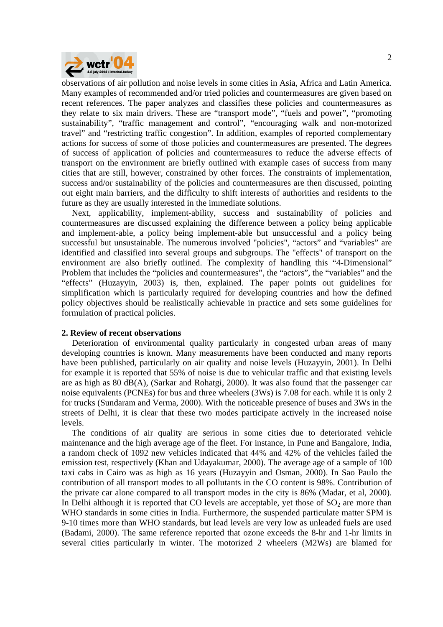

observations of air pollution and noise levels in some cities in Asia, Africa and Latin America. Many examples of recommended and/or tried policies and countermeasures are given based on recent references. The paper analyzes and classifies these policies and countermeasures as they relate to six main drivers. These are "transport mode", "fuels and power", "promoting sustainability", "traffic management and control", "encouraging walk and non-motorized travel" and "restricting traffic congestion". In addition, examples of reported complementary actions for success of some of those policies and countermeasures are presented. The degrees of success of application of policies and countermeasures to reduce the adverse effects of transport on the environment are briefly outlined with example cases of success from many cities that are still, however, constrained by other forces. The constraints of implementation, success and/or sustainability of the policies and countermeasures are then discussed, pointing out eight main barriers, and the difficulty to shift interests of authorities and residents to the future as they are usually interested in the immediate solutions.

Next, applicability, implement-ability, success and sustainability of policies and countermeasures are discussed explaining the difference between a policy being applicable and implement-able, a policy being implement-able but unsuccessful and a policy being successful but unsustainable. The numerous involved "policies", "actors" and "variables" are identified and classified into several groups and subgroups. The "effects" of transport on the environment are also briefly outlined. The complexity of handling this "4-Dimensional" Problem that includes the "policies and countermeasures", the "actors", the "variables" and the "effects" (Huzayyin, 2003) is, then, explained. The paper points out guidelines for simplification which is particularly required for developing countries and how the defined policy objectives should be realistically achievable in practice and sets some guidelines for formulation of practical policies.

#### **2. Review of recent observations**

Deterioration of environmental quality particularly in congested urban areas of many developing countries is known. Many measurements have been conducted and many reports have been published, particularly on air quality and noise levels (Huzayyin, 2001). In Delhi for example it is reported that 55% of noise is due to vehicular traffic and that existing levels are as high as 80 dB(A), (Sarkar and Rohatgi, 2000). It was also found that the passenger car noise equivalents (PCNEs) for bus and three wheelers (3Ws) is 7.08 for each. while it is only 2 for trucks (Sundaram and Verma, 2000). With the noticeable presence of buses and 3Ws in the streets of Delhi, it is clear that these two modes participate actively in the increased noise levels.

The conditions of air quality are serious in some cities due to deteriorated vehicle maintenance and the high average age of the fleet. For instance, in Pune and Bangalore, India, a random check of 1092 new vehicles indicated that 44% and 42% of the vehicles failed the emission test, respectively (Khan and Udayakumar, 2000). The average age of a sample of 100 taxi cabs in Cairo was as high as 16 years (Huzayyin and Osman, 2000). In Sao Paulo the contribution of all transport modes to all pollutants in the CO content is 98%. Contribution of the private car alone compared to all transport modes in the city is 86% (Madar, et al, 2000). In Delhi although it is reported that CO levels are acceptable, yet those of  $SO<sub>2</sub>$  are more than WHO standards in some cities in India. Furthermore, the suspended particulate matter SPM is 9-10 times more than WHO standards, but lead levels are very low as unleaded fuels are used (Badami, 2000). The same reference reported that ozone exceeds the 8-hr and 1-hr limits in several cities particularly in winter. The motorized 2 wheelers (M2Ws) are blamed for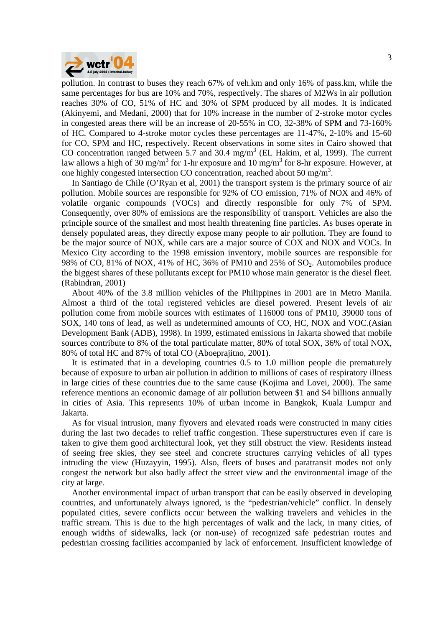

pollution. In contrast to buses they reach 67% of veh.km and only 16% of pass.km, while the same percentages for bus are 10% and 70%, respectively. The shares of M2Ws in air pollution reaches 30% of CO, 51% of HC and 30% of SPM produced by all modes. It is indicated (Akinyemi, and Medani, 2000) that for 10% increase in the number of 2-stroke motor cycles in congested areas there will be an increase of 20-55% in CO, 32-38% of SPM and 73-160% of HC. Compared to 4-stroke motor cycles these percentages are 11-47%, 2-10% and 15-60 for CO, SPM and HC, respectively. Recent observations in some sites in Cairo showed that CO concentration ranged between 5.7 and 30.4 mg/m<sup>3</sup> (EL Hakim, et al, 1999). The current law allows a high of 30 mg/m<sup>3</sup> for 1-hr exposure and 10 mg/m<sup>3</sup> for 8-hr exposure. However, at one highly congested intersection CO concentration, reached about 50 mg/m<sup>3</sup>.

In Santiago de Chile (O'Ryan et al, 2001) the transport system is the primary source of air pollution. Mobile sources are responsible for 92% of CO emission, 71% of NOX and 46% of volatile organic compounds (VOCs) and directly responsible for only 7% of SPM. Consequently, over 80% of emissions are the responsibility of transport. Vehicles are also the principle source of the smallest and most health threatening fine particles. As buses operate in densely populated areas, they directly expose many people to air pollution. They are found to be the major source of NOX, while cars are a major source of COX and NOX and VOCs. In Mexico City according to the 1998 emission inventory, mobile sources are responsible for 98% of CO, 81% of NOX, 41% of HC, 36% of PM10 and 25% of SO2. Automobiles produce the biggest shares of these pollutants except for PM10 whose main generator is the diesel fleet. (Rabindran, 2001)

About 40% of the 3.8 million vehicles of the Philippines in 2001 are in Metro Manila. Almost a third of the total registered vehicles are diesel powered. Present levels of air pollution come from mobile sources with estimates of 116000 tons of PM10, 39000 tons of SOX, 140 tons of lead, as well as undetermined amounts of CO, HC, NOX and VOC.(Asian Development Bank (ADB), 1998). In 1999, estimated emissions in Jakarta showed that mobile sources contribute to 8% of the total particulate matter, 80% of total SOX, 36% of total NOX, 80% of total HC and 87% of total CO (Aboeprajitno, 2001).

It is estimated that in a developing countries 0.5 to 1.0 million people die prematurely because of exposure to urban air pollution in addition to millions of cases of respiratory illness in large cities of these countries due to the same cause (Kojima and Lovei, 2000). The same reference mentions an economic damage of air pollution between \$1 and \$4 billions annually in cities of Asia. This represents 10% of urban income in Bangkok, Kuala Lumpur and Jakarta.

As for visual intrusion, many flyovers and elevated roads were constructed in many cities during the last two decades to relief traffic congestion. These superstructures even if care is taken to give them good architectural look, yet they still obstruct the view. Residents instead of seeing free skies, they see steel and concrete structures carrying vehicles of all types intruding the view (Huzayyin, 1995). Also, fleets of buses and paratransit modes not only congest the network but also badly affect the street view and the environmental image of the city at large.

Another environmental impact of urban transport that can be easily observed in developing countries, and unfortunately always ignored, is the "pedestrian/vehicle" conflict. In densely populated cities, severe conflicts occur between the walking travelers and vehicles in the traffic stream. This is due to the high percentages of walk and the lack, in many cities, of enough widths of sidewalks, lack (or non-use) of recognized safe pedestrian routes and pedestrian crossing facilities accompanied by lack of enforcement. Insufficient knowledge of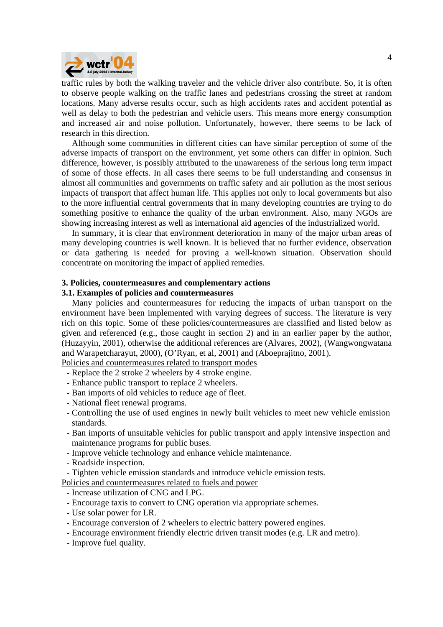

traffic rules by both the walking traveler and the vehicle driver also contribute. So, it is often to observe people walking on the traffic lanes and pedestrians crossing the street at random locations. Many adverse results occur, such as high accidents rates and accident potential as well as delay to both the pedestrian and vehicle users. This means more energy consumption and increased air and noise pollution. Unfortunately, however, there seems to be lack of research in this direction.

Although some communities in different cities can have similar perception of some of the adverse impacts of transport on the environment, yet some others can differ in opinion. Such difference, however, is possibly attributed to the unawareness of the serious long term impact of some of those effects. In all cases there seems to be full understanding and consensus in almost all communities and governments on traffic safety and air pollution as the most serious impacts of transport that affect human life. This applies not only to local governments but also to the more influential central governments that in many developing countries are trying to do something positive to enhance the quality of the urban environment. Also, many NGOs are showing increasing interest as well as international aid agencies of the industrialized world.

In summary, it is clear that environment deterioration in many of the major urban areas of many developing countries is well known. It is believed that no further evidence, observation or data gathering is needed for proving a well-known situation. Observation should concentrate on monitoring the impact of applied remedies.

#### **3. Policies, countermeasures and complementary actions**

#### **3.1. Examples of policies and countermeasures**

Many policies and countermeasures for reducing the impacts of urban transport on the environment have been implemented with varying degrees of success. The literature is very rich on this topic. Some of these policies/countermeasures are classified and listed below as given and referenced (e.g., those caught in section 2) and in an earlier paper by the author, (Huzayyin, 2001), otherwise the additional references are (Alvares, 2002), (Wangwongwatana and Warapetcharayut, 2000), (O'Ryan, et al, 2001) and (Aboeprajitno, 2001).

Policies and countermeasures related to transport modes

- Replace the 2 stroke 2 wheelers by 4 stroke engine.
- Enhance public transport to replace 2 wheelers.
- Ban imports of old vehicles to reduce age of fleet.
- National fleet renewal programs.
- Controlling the use of used engines in newly built vehicles to meet new vehicle emission standards.
- Ban imports of unsuitable vehicles for public transport and apply intensive inspection and maintenance programs for public buses.
- Improve vehicle technology and enhance vehicle maintenance.
- Roadside inspection.
- Tighten vehicle emission standards and introduce vehicle emission tests.
- Policies and countermeasures related to fuels and power
	- Increase utilization of CNG and LPG.
	- Encourage taxis to convert to CNG operation via appropriate schemes.
	- Use solar power for LR.
	- Encourage conversion of 2 wheelers to electric battery powered engines.
	- Encourage environment friendly electric driven transit modes (e.g. LR and metro).
	- Improve fuel quality.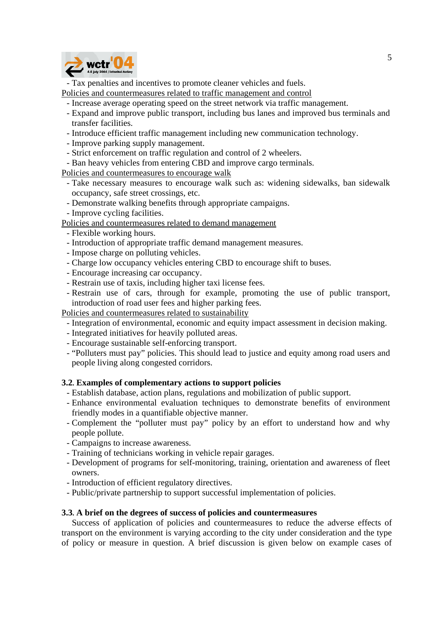

- Tax penalties and incentives to promote cleaner vehicles and fuels.

Policies and countermeasures related to traffic management and control

- Increase average operating speed on the street network via traffic management.
- Expand and improve public transport, including bus lanes and improved bus terminals and transfer facilities.
- Introduce efficient traffic management including new communication technology.
- Improve parking supply management.
- Strict enforcement on traffic regulation and control of 2 wheelers.
- Ban heavy vehicles from entering CBD and improve cargo terminals.

Policies and countermeasures to encourage walk

- Take necessary measures to encourage walk such as: widening sidewalks, ban sidewalk occupancy, safe street crossings, etc.
- Demonstrate walking benefits through appropriate campaigns.
- Improve cycling facilities.

Policies and countermeasures related to demand management

- Flexible working hours.
- Introduction of appropriate traffic demand management measures.
- Impose charge on polluting vehicles.
- Charge low occupancy vehicles entering CBD to encourage shift to buses.
- Encourage increasing car occupancy.
- Restrain use of taxis, including higher taxi license fees.
- Restrain use of cars, through for example, promoting the use of public transport, introduction of road user fees and higher parking fees.

Policies and countermeasures related to sustainability

- Integration of environmental, economic and equity impact assessment in decision making.
- Integrated initiatives for heavily polluted areas.
- Encourage sustainable self-enforcing transport.
- "Polluters must pay" policies. This should lead to justice and equity among road users and people living along congested corridors.

## **3.2. Examples of complementary actions to support policies**

- Establish database, action plans, regulations and mobilization of public support.
- Enhance environmental evaluation techniques to demonstrate benefits of environment friendly modes in a quantifiable objective manner.
- Complement the "polluter must pay" policy by an effort to understand how and why people pollute.
- Campaigns to increase awareness.
- Training of technicians working in vehicle repair garages.
- Development of programs for self-monitoring, training, orientation and awareness of fleet owners.
- Introduction of efficient regulatory directives.
- Public/private partnership to support successful implementation of policies.

## **3.3. A brief on the degrees of success of policies and countermeasures**

Success of application of policies and countermeasures to reduce the adverse effects of transport on the environment is varying according to the city under consideration and the type of policy or measure in question. A brief discussion is given below on example cases of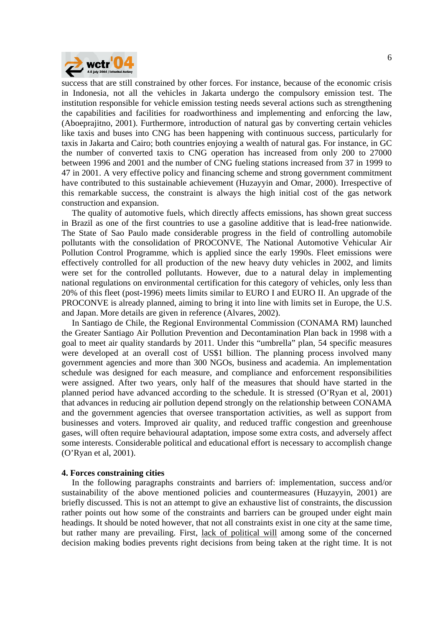

success that are still constrained by other forces. For instance, because of the economic crisis in Indonesia, not all the vehicles in Jakarta undergo the compulsory emission test. The institution responsible for vehicle emission testing needs several actions such as strengthening the capabilities and facilities for roadworthiness and implementing and enforcing the law, (Aboeprajitno, 2001). Furthermore, introduction of natural gas by converting certain vehicles like taxis and buses into CNG has been happening with continuous success, particularly for taxis in Jakarta and Cairo; both countries enjoying a wealth of natural gas. For instance, in GC the number of converted taxis to CNG operation has increased from only 200 to 27000 between 1996 and 2001 and the number of CNG fueling stations increased from 37 in 1999 to 47 in 2001. A very effective policy and financing scheme and strong government commitment have contributed to this sustainable achievement (Huzayyin and Omar, 2000). Irrespective of this remarkable success, the constraint is always the high initial cost of the gas network construction and expansion.

The quality of automotive fuels, which directly affects emissions, has shown great success in Brazil as one of the first countries to use a gasoline additive that is lead-free nationwide. The State of Sao Paulo made considerable progress in the field of controlling automobile pollutants with the consolidation of PROCONVE, The National Automotive Vehicular Air Pollution Control Programme, which is applied since the early 1990s. Fleet emissions were effectively controlled for all production of the new heavy duty vehicles in 2002, and limits were set for the controlled pollutants. However, due to a natural delay in implementing national regulations on environmental certification for this category of vehicles, only less than 20% of this fleet (post-1996) meets limits similar to EURO I and EURO II. An upgrade of the PROCONVE is already planned, aiming to bring it into line with limits set in Europe, the U.S. and Japan. More details are given in reference (Alvares, 2002).

In Santiago de Chile, the Regional Environmental Commission (CONAMA RM) launched the Greater Santiago Air Pollution Prevention and Decontamination Plan back in 1998 with a goal to meet air quality standards by 2011. Under this "umbrella" plan, 54 specific measures were developed at an overall cost of US\$1 billion. The planning process involved many government agencies and more than 300 NGOs, business and academia. An implementation schedule was designed for each measure, and compliance and enforcement responsibilities were assigned. After two years, only half of the measures that should have started in the planned period have advanced according to the schedule. It is stressed (O'Ryan et al, 2001) that advances in reducing air pollution depend strongly on the relationship between CONAMA and the government agencies that oversee transportation activities, as well as support from businesses and voters. Improved air quality, and reduced traffic congestion and greenhouse gases, will often require behavioural adaptation, impose some extra costs, and adversely affect some interests. Considerable political and educational effort is necessary to accomplish change (O'Ryan et al, 2001).

#### **4. Forces constraining cities**

In the following paragraphs constraints and barriers of: implementation, success and/or sustainability of the above mentioned policies and countermeasures (Huzayyin, 2001) are briefly discussed. This is not an attempt to give an exhaustive list of constraints, the discussion rather points out how some of the constraints and barriers can be grouped under eight main headings. It should be noted however, that not all constraints exist in one city at the same time, but rather many are prevailing. First, lack of political will among some of the concerned decision making bodies prevents right decisions from being taken at the right time. It is not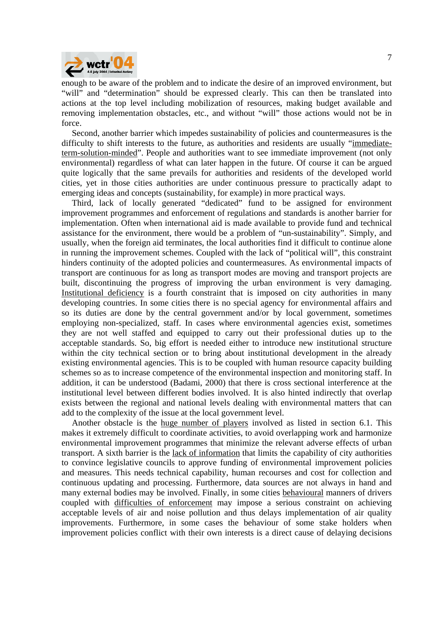

enough to be aware of the problem and to indicate the desire of an improved environment, but "will" and "determination" should be expressed clearly. This can then be translated into actions at the top level including mobilization of resources, making budget available and removing implementation obstacles, etc., and without "will" those actions would not be in force.

Second, another barrier which impedes sustainability of policies and countermeasures is the difficulty to shift interests to the future, as authorities and residents are usually "immediateterm-solution-minded". People and authorities want to see immediate improvement (not only environmental) regardless of what can later happen in the future. Of course it can be argued quite logically that the same prevails for authorities and residents of the developed world cities, yet in those cities authorities are under continuous pressure to practically adapt to emerging ideas and concepts (sustainability, for example) in more practical ways.

Third, lack of locally generated "dedicated" fund to be assigned for environment improvement programmes and enforcement of regulations and standards is another barrier for implementation. Often when international aid is made available to provide fund and technical assistance for the environment, there would be a problem of "un-sustainability". Simply, and usually, when the foreign aid terminates, the local authorities find it difficult to continue alone in running the improvement schemes. Coupled with the lack of "political will", this constraint hinders continuity of the adopted policies and countermeasures. As environmental impacts of transport are continuous for as long as transport modes are moving and transport projects are built, discontinuing the progress of improving the urban environment is very damaging. Institutional deficiency is a fourth constraint that is imposed on city authorities in many developing countries. In some cities there is no special agency for environmental affairs and so its duties are done by the central government and/or by local government, sometimes employing non-specialized, staff. In cases where environmental agencies exist, sometimes they are not well staffed and equipped to carry out their professional duties up to the acceptable standards. So, big effort is needed either to introduce new institutional structure within the city technical section or to bring about institutional development in the already existing environmental agencies. This is to be coupled with human resource capacity building schemes so as to increase competence of the environmental inspection and monitoring staff. In addition, it can be understood (Badami, 2000) that there is cross sectional interference at the institutional level between different bodies involved. It is also hinted indirectly that overlap exists between the regional and national levels dealing with environmental matters that can add to the complexity of the issue at the local government level.

Another obstacle is the huge number of players involved as listed in section 6.1. This makes it extremely difficult to coordinate activities, to avoid overlapping work and harmonize environmental improvement programmes that minimize the relevant adverse effects of urban transport. A sixth barrier is the lack of information that limits the capability of city authorities to convince legislative councils to approve funding of environmental improvement policies and measures. This needs technical capability, human recourses and cost for collection and continuous updating and processing. Furthermore, data sources are not always in hand and many external bodies may be involved. Finally, in some cities behavioural manners of drivers coupled with difficulties of enforcement may impose a serious constraint on achieving acceptable levels of air and noise pollution and thus delays implementation of air quality improvements. Furthermore, in some cases the behaviour of some stake holders when improvement policies conflict with their own interests is a direct cause of delaying decisions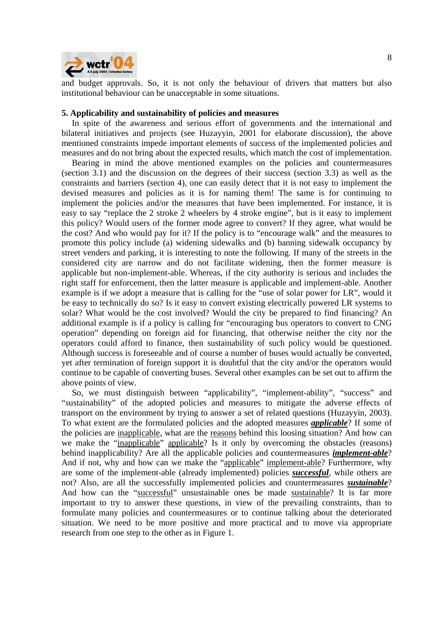

and budget approvals. So, it is not only the behaviour of drivers that matters but also institutional behaviour can be unacceptable in some situations.

#### **5. Applicability and sustainability of policies and measures**

In spite of the awareness and serious effort of governments and the international and bilateral initiatives and projects (see Huzayyin, 2001 for elaborate discussion), the above mentioned constraints impede important elements of success of the implemented policies and measures and do not bring about the expected results, which match the cost of implementation.

Bearing in mind the above mentioned examples on the policies and countermeasures (section 3.1) and the discussion on the degrees of their success (section 3.3) as well as the constraints and barriers (section 4), one can easily detect that it is not easy to implement the devised measures and policies as it is for naming them! The same is for continuing to implement the policies and/or the measures that have been implemented. For instance, it is easy to say "replace the 2 stroke 2 wheelers by 4 stroke engine", but is it easy to implement this policy? Would users of the former mode agree to convert? If they agree, what would be the cost? And who would pay for it? If the policy is to "encourage walk" and the measures to promote this policy include (a) widening sidewalks and (b) banning sidewalk occupancy by street venders and parking, it is interesting to note the following. If many of the streets in the considered city are narrow and do not facilitate widening, then the former measure is applicable but non-implement-able. Whereas, if the city authority is serious and includes the right staff for enforcement, then the latter measure is applicable and implement-able. Another example is if we adopt a measure that is calling for the "use of solar power for LR", would it be easy to technically do so? Is it easy to convert existing electrically powered LR systems to solar? What would be the cost involved? Would the city be prepared to find financing? An additional example is if a policy is calling for "encouraging bus operators to convert to CNG operation" depending on foreign aid for financing, that otherwise neither the city nor the operators could afford to finance, then sustainability of such policy would be questioned. Although success is foreseeable and of course a number of buses would actually be converted, yet after termination of foreign support it is doubtful that the city and/or the operators would continue to be capable of converting buses. Several other examples can be set out to affirm the above points of view.

So, we must distinguish between "applicability", "implement-ability", "success" and "sustainability" of the adopted policies and measures to mitigate the adverse effects of transport on the environment by trying to answer a set of related questions (Huzayyin, 2003). To what extent are the formulated policies and the adopted measures *applicable*? If some of the policies are inapplicable, what are the reasons behind this loosing situation? And how can we make the "inapplicable" applicable? Is it only by overcoming the obstacles (reasons) behind inapplicability? Are all the applicable policies and countermeasures *implement-able*? And if not, why and how can we make the "applicable" implement-able? Furthermore, why are some of the implement-able (already implemented) policies *successful*, while others are not? Also, are all the successfully implemented policies and countermeasures *sustainable*? And how can the "successful" unsustainable ones be made sustainable? It is far more important to try to answer these questions, in view of the prevailing constraints, than to formulate many policies and countermeasures or to continue talking about the deteriorated situation. We need to be more positive and more practical and to move via appropriate research from one step to the other as in Figure 1.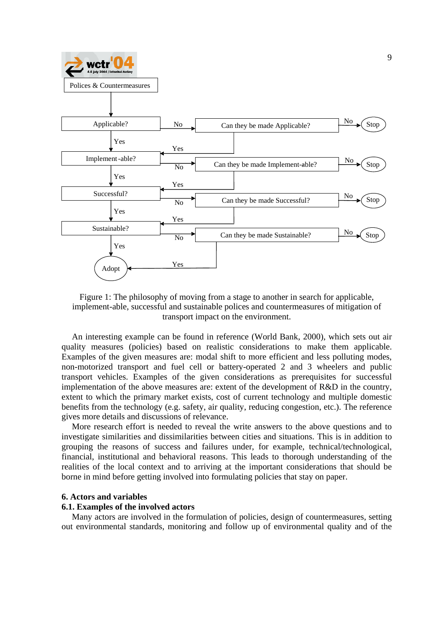

Figure 1: The philosophy of moving from a stage to another in search for applicable, implement-able, successful and sustainable polices and countermeasures of mitigation of transport impact on the environment.

An interesting example can be found in reference (World Bank, 2000), which sets out air quality measures (policies) based on realistic considerations to make them applicable. Examples of the given measures are: modal shift to more efficient and less polluting modes, non-motorized transport and fuel cell or battery-operated 2 and 3 wheelers and public transport vehicles. Examples of the given considerations as prerequisites for successful implementation of the above measures are: extent of the development of R&D in the country, extent to which the primary market exists, cost of current technology and multiple domestic benefits from the technology (e.g. safety, air quality, reducing congestion, etc.). The reference gives more details and discussions of relevance.

More research effort is needed to reveal the write answers to the above questions and to investigate similarities and dissimilarities between cities and situations. This is in addition to grouping the reasons of success and failures under, for example, technical/technological, financial, institutional and behavioral reasons. This leads to thorough understanding of the realities of the local context and to arriving at the important considerations that should be borne in mind before getting involved into formulating policies that stay on paper.

#### **6. Actors and variables**

#### **6.1. Examples of the involved actors**

Many actors are involved in the formulation of policies, design of countermeasures, setting out environmental standards, monitoring and follow up of environmental quality and of the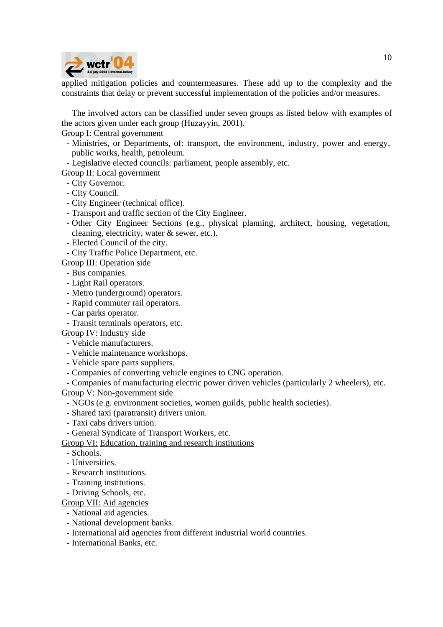

applied mitigation policies and countermeasures. These add up to the complexity and the constraints that delay or prevent successful implementation of the policies and/or measures.

The involved actors can be classified under seven groups as listed below with examples of the actors given under each group (Huzayyin, 2001).

Group I: Central government

- Ministries, or Departments, of: transport, the environment, industry, power and energy, public works, health, petroleum.
- Legislative elected councils: parliament, people assembly, etc.

Group II: Local government

- City Governor.
- City Council.
- City Engineer (technical office).
- Transport and traffic section of the City Engineer.
- Other City Engineer Sections (e.g., physical planning, architect, housing, vegetation, cleaning, electricity, water & sewer, etc.).
- Elected Council of the city.
- City Traffic Police Department, etc.

Group III: Operation side

- Bus companies.
- Light Rail operators.
- Metro (underground) operators.
- Rapid commuter rail operators.
- Car parks operator.
- Transit terminals operators, etc.

Group IV: Industry side

- Vehicle manufacturers.
- Vehicle maintenance workshops.
- Vehicle spare parts suppliers.
- Companies of converting vehicle engines to CNG operation.

- Companies of manufacturing electric power driven vehicles (particularly 2 wheelers), etc. Group V: Non-government side

- NGOs (e.g. environment societies, women guilds, public health societies).
- Shared taxi (paratransit) drivers union.
- Taxi cabs drivers union.
- General Syndicate of Transport Workers, etc.

Group VI: Education, training and research institutions

- Schools.

- Universities.
- Research institutions.
- Training institutions.
- Driving Schools, etc.

Group VII: Aid agencies

- National aid agencies.
- National development banks.
- International aid agencies from different industrial world countries.
- International Banks, etc.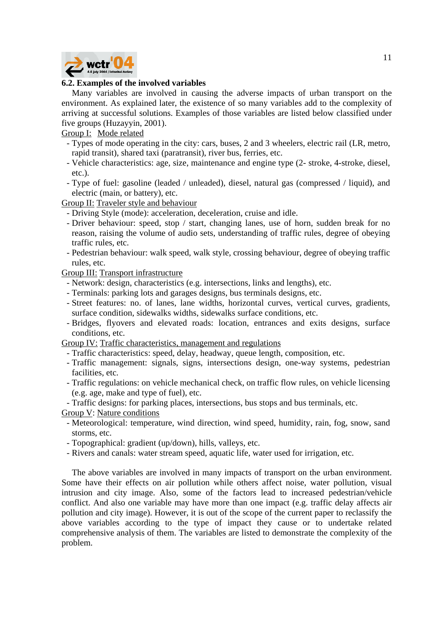

## **6.2. Examples of the involved variables**

Many variables are involved in causing the adverse impacts of urban transport on the environment. As explained later, the existence of so many variables add to the complexity of arriving at successful solutions. Examples of those variables are listed below classified under five groups (Huzayyin, 2001).

Group I: Mode related

- Types of mode operating in the city: cars, buses, 2 and 3 wheelers, electric rail (LR, metro, rapid transit), shared taxi (paratransit), river bus, ferries, etc.
- Vehicle characteristics: age, size, maintenance and engine type (2- stroke, 4-stroke, diesel, etc.).
- Type of fuel: gasoline (leaded / unleaded), diesel, natural gas (compressed / liquid), and electric (main, or battery), etc.

Group II: Traveler style and behaviour

- Driving Style (mode): acceleration, deceleration, cruise and idle.
- Driver behaviour: speed, stop / start, changing lanes, use of horn, sudden break for no reason, raising the volume of audio sets, understanding of traffic rules, degree of obeying traffic rules, etc.
- Pedestrian behaviour: walk speed, walk style, crossing behaviour, degree of obeying traffic rules, etc.

Group III: Transport infrastructure

- Network: design, characteristics (e.g. intersections, links and lengths), etc.
- Terminals: parking lots and garages designs, bus terminals designs, etc.
- Street features: no. of lanes, lane widths, horizontal curves, vertical curves, gradients, surface condition, sidewalks widths, sidewalks surface conditions, etc.
- Bridges, flyovers and elevated roads: location, entrances and exits designs, surface conditions, etc.

Group IV: Traffic characteristics, management and regulations

- Traffic characteristics: speed, delay, headway, queue length, composition, etc.
- Traffic management: signals, signs, intersections design, one-way systems, pedestrian facilities, etc.
- Traffic regulations: on vehicle mechanical check, on traffic flow rules, on vehicle licensing (e.g. age, make and type of fuel), etc.
- Traffic designs: for parking places, intersections, bus stops and bus terminals, etc.

Group V: Nature conditions

- Meteorological: temperature, wind direction, wind speed, humidity, rain, fog, snow, sand storms, etc.
- Topographical: gradient (up/down), hills, valleys, etc.
- Rivers and canals: water stream speed, aquatic life, water used for irrigation, etc.

The above variables are involved in many impacts of transport on the urban environment. Some have their effects on air pollution while others affect noise, water pollution, visual intrusion and city image. Also, some of the factors lead to increased pedestrian/vehicle conflict. And also one variable may have more than one impact (e.g. traffic delay affects air pollution and city image). However, it is out of the scope of the current paper to reclassify the above variables according to the type of impact they cause or to undertake related comprehensive analysis of them. The variables are listed to demonstrate the complexity of the problem.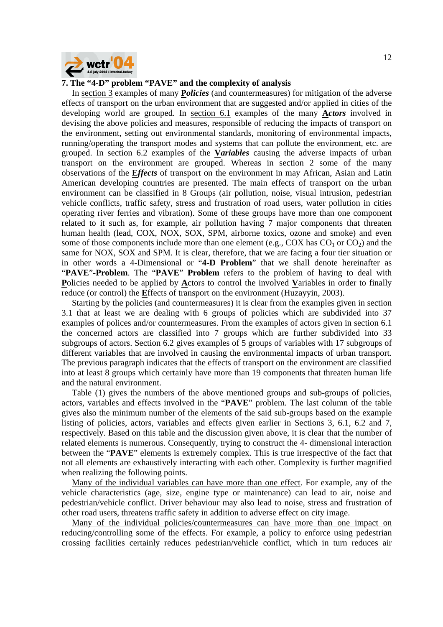

#### **7. The "4-D" problem "PAVE" and the complexity of analysis**

In section 3 examples of many **P***olicies* (and countermeasures) for mitigation of the adverse effects of transport on the urban environment that are suggested and/or applied in cities of the developing world are grouped. In section 6.1 examples of the many **A***ctors* involved in devising the above policies and measures, responsible of reducing the impacts of transport on the environment, setting out environmental standards, monitoring of environmental impacts, running/operating the transport modes and systems that can pollute the environment, etc. are grouped. In section 6.2 examples of the **V***ariables* causing the adverse impacts of urban transport on the environment are grouped. Whereas in section 2 some of the many observations of the **E***ffects* of transport on the environment in may African, Asian and Latin American developing countries are presented. The main effects of transport on the urban environment can be classified in 8 Groups (air pollution, noise, visual intrusion, pedestrian vehicle conflicts, traffic safety, stress and frustration of road users, water pollution in cities operating river ferries and vibration). Some of these groups have more than one component related to it such as, for example, air pollution having 7 major components that threaten human health (lead, COX, NOX, SOX, SPM, airborne toxics, ozone and smoke) and even some of those components include more than one element (e.g., COX has  $CO<sub>1</sub>$  or  $CO<sub>2</sub>$ ) and the same for NOX, SOX and SPM. It is clear, therefore, that we are facing a four tier situation or in other words a 4-Dimensional or "**4-D Problem**" that we shall denote hereinafter as "**PAVE**"**-Problem**. The "**PAVE**" **Problem** refers to the problem of having to deal with **P**olicies needed to be applied by **A**ctors to control the involved **V**ariables in order to finally reduce (or control) the **E**ffects of transport on the environment (Huzayyin, 2003).

Starting by the policies (and countermeasures) it is clear from the examples given in section 3.1 that at least we are dealing with 6 groups of policies which are subdivided into 37 examples of polices and/or countermeasures. From the examples of actors given in section 6.1 the concerned actors are classified into 7 groups which are further subdivided into 33 subgroups of actors. Section 6.2 gives examples of 5 groups of variables with 17 subgroups of different variables that are involved in causing the environmental impacts of urban transport. The previous paragraph indicates that the effects of transport on the environment are classified into at least 8 groups which certainly have more than 19 components that threaten human life and the natural environment.

Table (1) gives the numbers of the above mentioned groups and sub-groups of policies, actors, variables and effects involved in the "**PAVE**" problem. The last column of the table gives also the minimum number of the elements of the said sub-groups based on the example listing of policies, actors, variables and effects given earlier in Sections 3, 6.1, 6.2 and 7, respectively. Based on this table and the discussion given above, it is clear that the number of related elements is numerous. Consequently, trying to construct the 4- dimensional interaction between the "**PAVE**" elements is extremely complex. This is true irrespective of the fact that not all elements are exhaustively interacting with each other. Complexity is further magnified when realizing the following points.

Many of the individual variables can have more than one effect. For example, any of the vehicle characteristics (age, size, engine type or maintenance) can lead to air, noise and pedestrian/vehicle conflict. Driver behaviour may also lead to noise, stress and frustration of other road users, threatens traffic safety in addition to adverse effect on city image.

Many of the individual policies/countermeasures can have more than one impact on reducing/controlling some of the effects. For example, a policy to enforce using pedestrian crossing facilities certainly reduces pedestrian/vehicle conflict, which in turn reduces air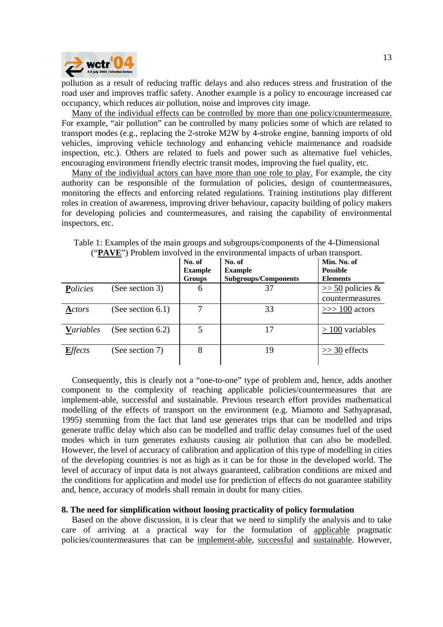

pollution as a result of reducing traffic delays and also reduces stress and frustration of the road user and improves traffic safety. Another example is a policy to encourage increased car occupancy, which reduces air pollution, noise and improves city image.

Many of the individual effects can be controlled by more than one policy/countermeasure. For example, "air pollution" can be controlled by many policies some of which are related to transport modes (e.g., replacing the 2-stroke M2W by 4-stroke engine, banning imports of old vehicles, improving vehicle technology and enhancing vehicle maintenance and roadside inspection, etc.). Others are related to fuels and power such as alternative fuel vehicles, encouraging environment friendly electric transit modes, improving the fuel quality, etc.

Many of the individual actors can have more than one role to play. For example, the city authority can be responsible of the formulation of policies, design of countermeasures, monitoring the effects and enforcing related regulations. Training institutions play different roles in creation of awareness, improving driver behaviour, capacity building of policy makers for developing policies and countermeasures, and raising the capability of environmental inspectors, etc.

|                  |                      | No. of<br><b>Example</b><br>Groups | No. of<br><b>Example</b><br><b>Subgroups/Components</b> | Min. No. of<br><b>Possible</b><br><b>Elements</b> |
|------------------|----------------------|------------------------------------|---------------------------------------------------------|---------------------------------------------------|
| Policies         | (See section 3)      | 6                                  | 37                                                      | $\gg$ 50 policies &<br>countermeasures            |
| Actors           | (See section $6.1$ ) |                                    | 33                                                      | $\gg$ 100 actors                                  |
| <b>Variables</b> | (See section $6.2$ ) | 5                                  | 17                                                      | $> 100$ variables                                 |
| <b>Effects</b>   | (See section 7)      | 8                                  | 19                                                      | $\gg$ 30 effects                                  |

Table 1: Examples of the main groups and subgroups/components of the 4-Dimensional ("**PAVE**") Problem involved in the environmental impacts of urban transport.

Consequently, this is clearly not a "one-to-one" type of problem and, hence, adds another component to the complexity of reaching applicable policies/countermeasures that are implement-able, successful and sustainable. Previous research effort provides mathematical modelling of the effects of transport on the environment (e.g. Miamoto and Sathyaprasad, 1995) stemming from the fact that land use generates trips that can be modelled and trips generate traffic delay which also can be modelled and traffic delay consumes fuel of the used modes which in turn generates exhausts causing air pollution that can also be modelled. However, the level of accuracy of calibration and application of this type of modelling in cities of the developing countries is not as high as it can be for those in the developed world. The level of accuracy of input data is not always guaranteed, calibration conditions are mixed and the conditions for application and model use for prediction of effects do not guarantee stability and, hence, accuracy of models shall remain in doubt for many cities.

#### **8. The need for simplification without loosing practicality of policy formulation**

Based on the above discussion, it is clear that we need to simplify the analysis and to take care of arriving at a practical way for the formulation of applicable pragmatic policies/countermeasures that can be implement-able, successful and sustainable. However,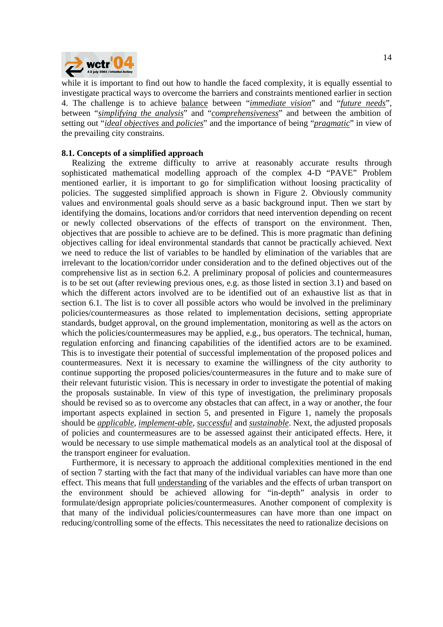

while it is important to find out how to handle the faced complexity, it is equally essential to investigate practical ways to overcome the barriers and constraints mentioned earlier in section 4. The challenge is to achieve balance between "*immediate vision*" and "*future needs*", between "*simplifying the analysis*" and "*comprehensiveness*" and between the ambition of setting out "*ideal objectives* and *policies*" and the importance of being "*pragmatic*" in view of the prevailing city constrains.

### **8.1. Concepts of a simplified approach**

Realizing the extreme difficulty to arrive at reasonably accurate results through sophisticated mathematical modelling approach of the complex 4-D "PAVE" Problem mentioned earlier, it is important to go for simplification without loosing practicality of policies. The suggested simplified approach is shown in Figure 2. Obviously community values and environmental goals should serve as a basic background input. Then we start by identifying the domains, locations and/or corridors that need intervention depending on recent or newly collected observations of the effects of transport on the environment. Then, objectives that are possible to achieve are to be defined. This is more pragmatic than defining objectives calling for ideal environmental standards that cannot be practically achieved. Next we need to reduce the list of variables to be handled by elimination of the variables that are irrelevant to the location/corridor under consideration and to the defined objectives out of the comprehensive list as in section 6.2. A preliminary proposal of policies and countermeasures is to be set out (after reviewing previous ones, e.g. as those listed in section 3.1) and based on which the different actors involved are to be identified out of an exhaustive list as that in section 6.1. The list is to cover all possible actors who would be involved in the preliminary policies/countermeasures as those related to implementation decisions, setting appropriate standards, budget approval, on the ground implementation, monitoring as well as the actors on which the policies/countermeasures may be applied, e.g., bus operators. The technical, human, regulation enforcing and financing capabilities of the identified actors are to be examined. This is to investigate their potential of successful implementation of the proposed polices and countermeasures. Next it is necessary to examine the willingness of the city authority to continue supporting the proposed policies/countermeasures in the future and to make sure of their relevant futuristic vision. This is necessary in order to investigate the potential of making the proposals sustainable. In view of this type of investigation, the preliminary proposals should be revised so as to overcome any obstacles that can affect, in a way or another, the four important aspects explained in section 5, and presented in Figure 1, namely the proposals should be *applicable*, *implement-able*, *successful* and *sustainable*. Next, the adjusted proposals of policies and countermeasures are to be assessed against their anticipated effects. Here, it would be necessary to use simple mathematical models as an analytical tool at the disposal of the transport engineer for evaluation.

Furthermore, it is necessary to approach the additional complexities mentioned in the end of section 7 starting with the fact that many of the individual variables can have more than one effect. This means that full understanding of the variables and the effects of urban transport on the environment should be achieved allowing for "in-depth" analysis in order to formulate/design appropriate policies/countermeasures. Another component of complexity is that many of the individual policies/countermeasures can have more than one impact on reducing/controlling some of the effects. This necessitates the need to rationalize decisions on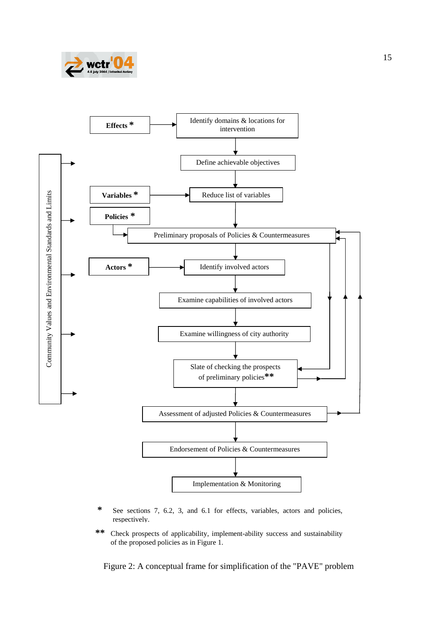



- **\*** See sections 7, 6.2, 3, and 6.1 for effects, variables, actors and policies, respectively.
- **\*\*** Check prospects of applicability, implement-ability success and sustainability of the proposed policies as in Figure 1.

Figure 2: A conceptual frame for simplification of the "PAVE" problem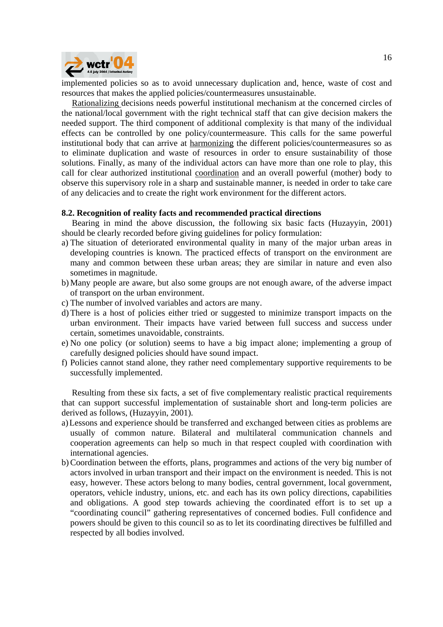

implemented policies so as to avoid unnecessary duplication and, hence, waste of cost and resources that makes the applied policies/countermeasures unsustainable.

Rationalizing decisions needs powerful institutional mechanism at the concerned circles of the national/local government with the right technical staff that can give decision makers the needed support. The third component of additional complexity is that many of the individual effects can be controlled by one policy/countermeasure. This calls for the same powerful institutional body that can arrive at harmonizing the different policies/countermeasures so as to eliminate duplication and waste of resources in order to ensure sustainability of those solutions. Finally, as many of the individual actors can have more than one role to play, this call for clear authorized institutional coordination and an overall powerful (mother) body to observe this supervisory role in a sharp and sustainable manner, is needed in order to take care of any delicacies and to create the right work environment for the different actors.

#### **8.2. Recognition of reality facts and recommended practical directions**

Bearing in mind the above discussion, the following six basic facts (Huzayyin, 2001) should be clearly recorded before giving guidelines for policy formulation:

- a) The situation of deteriorated environmental quality in many of the major urban areas in developing countries is known. The practiced effects of transport on the environment are many and common between these urban areas; they are similar in nature and even also sometimes in magnitude.
- b) Many people are aware, but also some groups are not enough aware, of the adverse impact of transport on the urban environment.
- c) The number of involved variables and actors are many.
- d) There is a host of policies either tried or suggested to minimize transport impacts on the urban environment. Their impacts have varied between full success and success under certain, sometimes unavoidable, constraints.
- e) No one policy (or solution) seems to have a big impact alone; implementing a group of carefully designed policies should have sound impact.
- f) Policies cannot stand alone, they rather need complementary supportive requirements to be successfully implemented.

Resulting from these six facts, a set of five complementary realistic practical requirements that can support successful implementation of sustainable short and long-term policies are derived as follows, (Huzayyin, 2001).

- a)Lessons and experience should be transferred and exchanged between cities as problems are usually of common nature. Bilateral and multilateral communication channels and cooperation agreements can help so much in that respect coupled with coordination with international agencies.
- b)Coordination between the efforts, plans, programmes and actions of the very big number of actors involved in urban transport and their impact on the environment is needed. This is not easy, however. These actors belong to many bodies, central government, local government, operators, vehicle industry, unions, etc. and each has its own policy directions, capabilities and obligations. A good step towards achieving the coordinated effort is to set up a "coordinating council" gathering representatives of concerned bodies. Full confidence and powers should be given to this council so as to let its coordinating directives be fulfilled and respected by all bodies involved.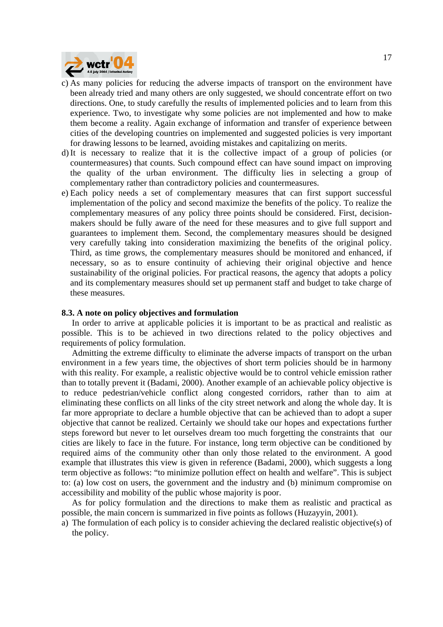

- c) As many policies for reducing the adverse impacts of transport on the environment have been already tried and many others are only suggested, we should concentrate effort on two directions. One, to study carefully the results of implemented policies and to learn from this experience. Two, to investigate why some policies are not implemented and how to make them become a reality. Again exchange of information and transfer of experience between cities of the developing countries on implemented and suggested policies is very important for drawing lessons to be learned, avoiding mistakes and capitalizing on merits.
- d)It is necessary to realize that it is the collective impact of a group of policies (or countermeasures) that counts. Such compound effect can have sound impact on improving the quality of the urban environment. The difficulty lies in selecting a group of complementary rather than contradictory policies and countermeasures.
- e) Each policy needs a set of complementary measures that can first support successful implementation of the policy and second maximize the benefits of the policy. To realize the complementary measures of any policy three points should be considered. First, decisionmakers should be fully aware of the need for these measures and to give full support and guarantees to implement them. Second, the complementary measures should be designed very carefully taking into consideration maximizing the benefits of the original policy. Third, as time grows, the complementary measures should be monitored and enhanced, if necessary, so as to ensure continuity of achieving their original objective and hence sustainability of the original policies. For practical reasons, the agency that adopts a policy and its complementary measures should set up permanent staff and budget to take charge of these measures.

#### **8.3. A note on policy objectives and formulation**

In order to arrive at applicable policies it is important to be as practical and realistic as possible. This is to be achieved in two directions related to the policy objectives and requirements of policy formulation.

Admitting the extreme difficulty to eliminate the adverse impacts of transport on the urban environment in a few years time, the objectives of short term policies should be in harmony with this reality. For example, a realistic objective would be to control vehicle emission rather than to totally prevent it (Badami, 2000). Another example of an achievable policy objective is to reduce pedestrian/vehicle conflict along congested corridors, rather than to aim at eliminating these conflicts on all links of the city street network and along the whole day. It is far more appropriate to declare a humble objective that can be achieved than to adopt a super objective that cannot be realized. Certainly we should take our hopes and expectations further steps foreword but never to let ourselves dream too much forgetting the constraints that our cities are likely to face in the future. For instance, long term objective can be conditioned by required aims of the community other than only those related to the environment. A good example that illustrates this view is given in reference (Badami, 2000), which suggests a long term objective as follows: "to minimize pollution effect on health and welfare". This is subject to: (a) low cost on users, the government and the industry and (b) minimum compromise on accessibility and mobility of the public whose majority is poor.

As for policy formulation and the directions to make them as realistic and practical as possible, the main concern is summarized in five points as follows (Huzayyin, 2001).

a) The formulation of each policy is to consider achieving the declared realistic objective(s) of the policy.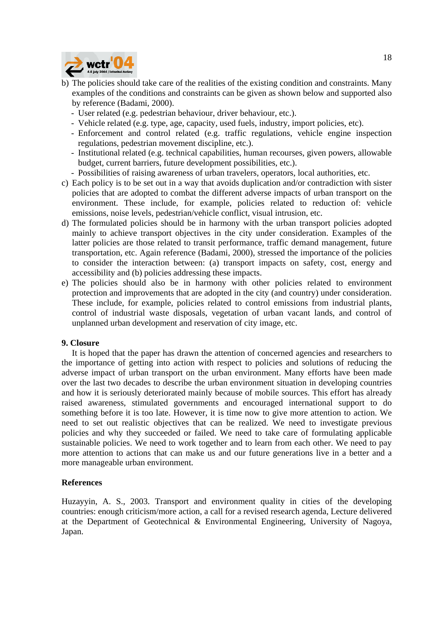

- b) The policies should take care of the realities of the existing condition and constraints. Many examples of the conditions and constraints can be given as shown below and supported also by reference (Badami, 2000).
	- User related (e.g. pedestrian behaviour, driver behaviour, etc.).
	- Vehicle related (e.g. type, age, capacity, used fuels, industry, import policies, etc).
	- Enforcement and control related (e.g. traffic regulations, vehicle engine inspection regulations, pedestrian movement discipline, etc.).
	- Institutional related (e.g. technical capabilities, human recourses, given powers, allowable budget, current barriers, future development possibilities, etc.).
	- Possibilities of raising awareness of urban travelers, operators, local authorities, etc.
- c) Each policy is to be set out in a way that avoids duplication and/or contradiction with sister policies that are adopted to combat the different adverse impacts of urban transport on the environment. These include, for example, policies related to reduction of: vehicle emissions, noise levels, pedestrian/vehicle conflict, visual intrusion, etc.
- d) The formulated policies should be in harmony with the urban transport policies adopted mainly to achieve transport objectives in the city under consideration. Examples of the latter policies are those related to transit performance, traffic demand management, future transportation, etc. Again reference (Badami, 2000), stressed the importance of the policies to consider the interaction between: (a) transport impacts on safety, cost, energy and accessibility and (b) policies addressing these impacts.
- e) The policies should also be in harmony with other policies related to environment protection and improvements that are adopted in the city (and country) under consideration. These include, for example, policies related to control emissions from industrial plants, control of industrial waste disposals, vegetation of urban vacant lands, and control of unplanned urban development and reservation of city image, etc.

#### **9. Closure**

It is hoped that the paper has drawn the attention of concerned agencies and researchers to the importance of getting into action with respect to policies and solutions of reducing the adverse impact of urban transport on the urban environment. Many efforts have been made over the last two decades to describe the urban environment situation in developing countries and how it is seriously deteriorated mainly because of mobile sources. This effort has already raised awareness, stimulated governments and encouraged international support to do something before it is too late. However, it is time now to give more attention to action. We need to set out realistic objectives that can be realized. We need to investigate previous policies and why they succeeded or failed. We need to take care of formulating applicable sustainable policies. We need to work together and to learn from each other. We need to pay more attention to actions that can make us and our future generations live in a better and a more manageable urban environment.

#### **References**

Huzayyin, A. S., 2003. Transport and environment quality in cities of the developing countries: enough criticism/more action, a call for a revised research agenda, Lecture delivered at the Department of Geotechnical & Environmental Engineering, University of Nagoya, Japan.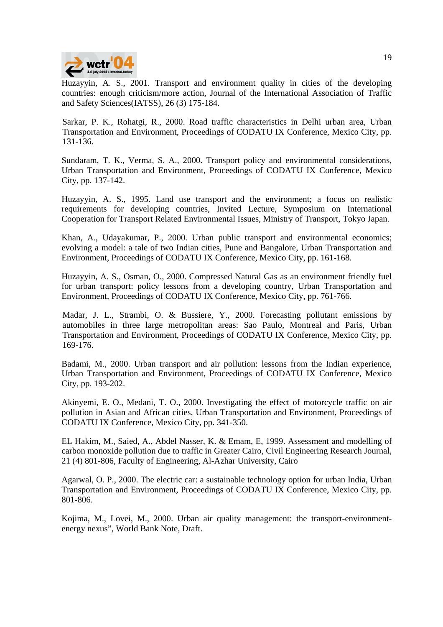

Huzayyin, A. S., 2001. Transport and environment quality in cities of the developing countries: enough criticism/more action, Journal of the International Association of Traffic and Safety Sciences(IATSS), 26 (3) 175-184.

Sarkar, P. K., Rohatgi, R., 2000. Road traffic characteristics in Delhi urban area, Urban Transportation and Environment, Proceedings of CODATU IX Conference, Mexico City, pp. 131-136.

Sundaram, T. K., Verma, S. A., 2000. Transport policy and environmental considerations, Urban Transportation and Environment, Proceedings of CODATU IX Conference, Mexico City, pp. 137-142.

Huzayyin, A. S., 1995. Land use transport and the environment; a focus on realistic requirements for developing countries, Invited Lecture, Symposium on International Cooperation for Transport Related Environmental Issues, Ministry of Transport, Tokyo Japan.

Khan, A., Udayakumar, P., 2000. Urban public transport and environmental economics; evolving a model: a tale of two Indian cities, Pune and Bangalore, Urban Transportation and Environment, Proceedings of CODATU IX Conference, Mexico City, pp. 161-168.

Huzayyin, A. S., Osman, O., 2000. Compressed Natural Gas as an environment friendly fuel for urban transport: policy lessons from a developing country, Urban Transportation and Environment, Proceedings of CODATU IX Conference, Mexico City, pp. 761-766.

Madar, J. L., Strambi, O. & Bussiere, Y., 2000. Forecasting pollutant emissions by automobiles in three large metropolitan areas: Sao Paulo, Montreal and Paris, Urban Transportation and Environment, Proceedings of CODATU IX Conference, Mexico City, pp. 169-176.

Badami, M., 2000. Urban transport and air pollution: lessons from the Indian experience, Urban Transportation and Environment, Proceedings of CODATU IX Conference, Mexico City, pp. 193-202.

Akinyemi, E. O., Medani, T. O., 2000. Investigating the effect of motorcycle traffic on air pollution in Asian and African cities, Urban Transportation and Environment, Proceedings of CODATU IX Conference, Mexico City, pp. 341-350.

EL Hakim, M., Saied, A., Abdel Nasser, K. & Emam, E, 1999. Assessment and modelling of carbon monoxide pollution due to traffic in Greater Cairo, Civil Engineering Research Journal, 21 (4) 801-806, Faculty of Engineering, Al-Azhar University, Cairo

Agarwal, O. P., 2000. The electric car: a sustainable technology option for urban India, Urban Transportation and Environment, Proceedings of CODATU IX Conference, Mexico City, pp. 801-806.

Kojima, M., Lovei, M., 2000. Urban air quality management: the transport-environmentenergy nexus", World Bank Note, Draft.